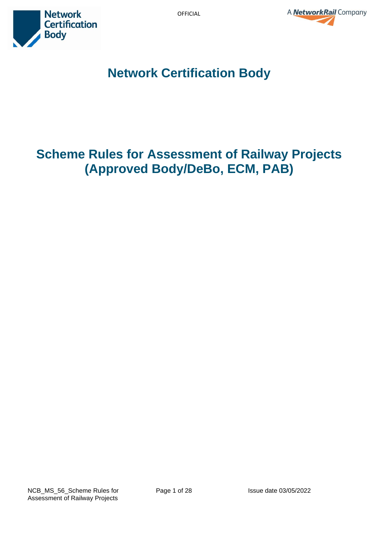



**Network Certification Body**

# **Scheme Rules for Assessment of Railway Projects (Approved Body/DeBo, ECM, PAB)**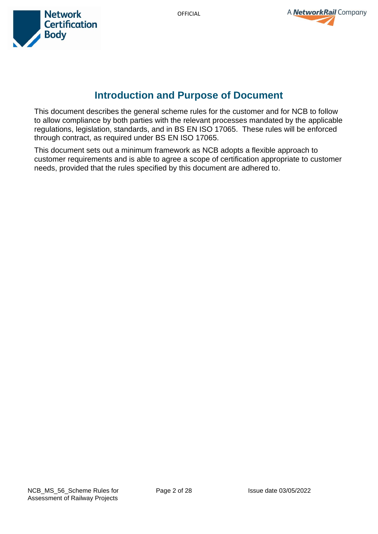



# **Introduction and Purpose of Document**

This document describes the general scheme rules for the customer and for NCB to follow to allow compliance by both parties with the relevant processes mandated by the applicable regulations, legislation, standards, and in BS EN ISO 17065. These rules will be enforced through contract, as required under BS EN ISO 17065.

This document sets out a minimum framework as NCB adopts a flexible approach to customer requirements and is able to agree a scope of certification appropriate to customer needs, provided that the rules specified by this document are adhered to.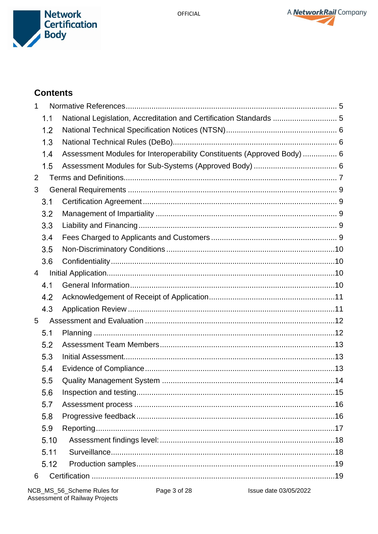



# **Contents**

| 1              |      |                                                                         |  |  |  |  |
|----------------|------|-------------------------------------------------------------------------|--|--|--|--|
|                | 1.1  | National Legislation, Accreditation and Certification Standards  5      |  |  |  |  |
|                | 1.2  |                                                                         |  |  |  |  |
|                | 1.3  |                                                                         |  |  |  |  |
|                | 1.4  | Assessment Modules for Interoperability Constituents (Approved Body)  6 |  |  |  |  |
|                | 1.5  |                                                                         |  |  |  |  |
| 2              |      |                                                                         |  |  |  |  |
| 3              |      |                                                                         |  |  |  |  |
|                | 3.1  |                                                                         |  |  |  |  |
|                | 3.2  |                                                                         |  |  |  |  |
|                | 3.3  |                                                                         |  |  |  |  |
|                | 3.4  |                                                                         |  |  |  |  |
|                | 3.5  |                                                                         |  |  |  |  |
|                | 3.6  |                                                                         |  |  |  |  |
| $\overline{4}$ |      |                                                                         |  |  |  |  |
|                | 4.1  |                                                                         |  |  |  |  |
|                | 4.2  |                                                                         |  |  |  |  |
|                | 4.3  |                                                                         |  |  |  |  |
| 5              |      |                                                                         |  |  |  |  |
|                | 5.1  |                                                                         |  |  |  |  |
|                | 5.2  |                                                                         |  |  |  |  |
|                | 5.3  |                                                                         |  |  |  |  |
|                | 5.4  |                                                                         |  |  |  |  |
|                | 5.5  |                                                                         |  |  |  |  |
|                | 5.6  |                                                                         |  |  |  |  |
|                | 5.7  |                                                                         |  |  |  |  |
|                | 5.8  |                                                                         |  |  |  |  |
|                | 5.9  |                                                                         |  |  |  |  |
|                | 5.10 |                                                                         |  |  |  |  |
|                | 5.11 |                                                                         |  |  |  |  |
|                | 5.12 |                                                                         |  |  |  |  |
| 6              |      |                                                                         |  |  |  |  |

Issue date 03/05/2022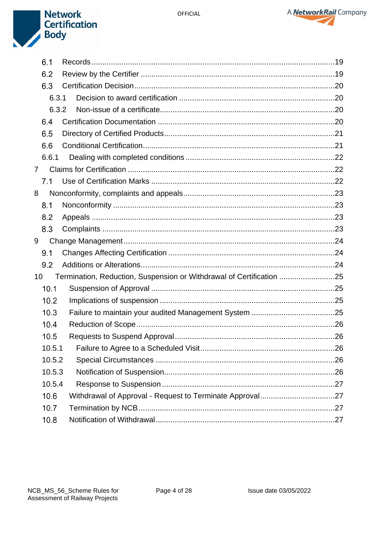



|                | 6.1    |  |                                                                      |  |  |
|----------------|--------|--|----------------------------------------------------------------------|--|--|
|                | 6.2    |  |                                                                      |  |  |
|                | 6.3    |  |                                                                      |  |  |
|                | 6.3.1  |  |                                                                      |  |  |
|                | 6.3.2  |  |                                                                      |  |  |
|                | 6.4    |  |                                                                      |  |  |
|                | 6.5    |  |                                                                      |  |  |
|                | 6.6    |  |                                                                      |  |  |
|                | 6.6.1  |  |                                                                      |  |  |
| $\overline{7}$ |        |  |                                                                      |  |  |
|                | 7.1    |  |                                                                      |  |  |
| 8              |        |  |                                                                      |  |  |
|                | 8.1    |  |                                                                      |  |  |
|                | 8.2    |  |                                                                      |  |  |
|                | 8.3    |  |                                                                      |  |  |
| 9              |        |  |                                                                      |  |  |
|                | 9.1    |  |                                                                      |  |  |
|                | 9.2    |  |                                                                      |  |  |
| 10             |        |  | Termination, Reduction, Suspension or Withdrawal of Certification 25 |  |  |
|                | 10.1   |  |                                                                      |  |  |
|                | 10.2   |  |                                                                      |  |  |
|                | 10.3   |  |                                                                      |  |  |
|                | 10.4   |  |                                                                      |  |  |
|                | 10.5   |  |                                                                      |  |  |
|                | 10.5.1 |  |                                                                      |  |  |
|                | 10.5.2 |  |                                                                      |  |  |
|                | 10.5.3 |  |                                                                      |  |  |
|                | 10.5.4 |  |                                                                      |  |  |
|                | 10.6   |  |                                                                      |  |  |
|                | 10.7   |  |                                                                      |  |  |
|                | 10.8   |  |                                                                      |  |  |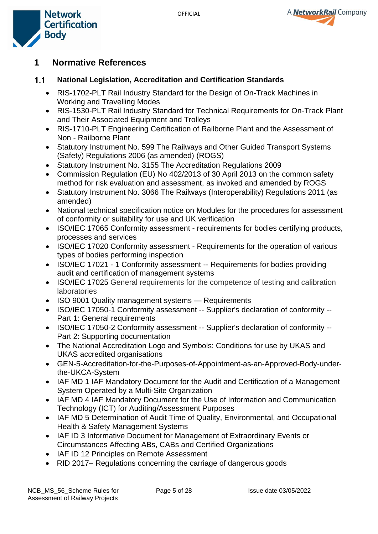



# <span id="page-4-0"></span>**1 Normative References**

#### <span id="page-4-1"></span> $1.1$ **National Legislation, Accreditation and Certification Standards**

- RIS-1702-PLT Rail Industry Standard for the Design of On-Track Machines in Working and Travelling Modes
- RIS-1530-PLT Rail Industry Standard for Technical Requirements for On-Track Plant and Their Associated Equipment and Trolleys
- RIS-1710-PLT Engineering Certification of Railborne Plant and the Assessment of Non - Railborne Plant
- Statutory Instrument No. 599 The Railways and Other Guided Transport Systems (Safety) Regulations 2006 (as amended) (ROGS)
- Statutory Instrument No. 3155 The Accreditation Regulations 2009
- Commission Regulation (EU) No 402/2013 of 30 April 2013 on the common safety method for risk evaluation and assessment, as invoked and amended by ROGS
- Statutory Instrument No. 3066 The Railways (Interoperability) Regulations 2011 (as amended)
- National technical specification notice on Modules for the procedures for assessment of conformity or suitability for use and UK verification
- ISO/IEC 17065 Conformity assessment requirements for bodies certifying products, processes and services
- ISO/IEC 17020 Conformity assessment Requirements for the operation of various types of bodies performing inspection
- ISO/IEC 17021 1 Conformity assessment -- Requirements for bodies providing audit and certification of management systems
- ISO/IEC 17025 General requirements for the competence of testing and calibration laboratories
- ISO 9001 Quality management systems Requirements
- ISO/IEC 17050-1 Conformity assessment -- Supplier's declaration of conformity -- Part 1: General requirements
- ISO/IEC 17050-2 Conformity assessment -- Supplier's declaration of conformity -- Part 2: Supporting documentation
- The National Accreditation Logo and Symbols: Conditions for use by UKAS and UKAS accredited organisations
- GEN-5-Accreditation-for-the-Purposes-of-Appointment-as-an-Approved-Body-underthe-UKCA-System
- IAF MD 1 IAF Mandatory Document for the Audit and Certification of a Management System Operated by a [Multi-Site Organization](https://www.iaf.nu/workstation/upFiles/MD1Issue2Jan2018Pub29012018.pdf)
- [IAF MD 4 IAF Mandatory Document for the Use of Information and Communication](https://www.iaf.nu/upFiles/IAF%20MD4%20Issue%202%2003072018.pdf)  [Technology \(ICT\) for Auditing/Assessment Purposes](https://www.iaf.nu/upFiles/IAF%20MD4%20Issue%202%2003072018.pdf)
- IAF MD 5 Determination of Audit Time of Quality, Environmental, and Occupational [Health & Safety Management Systems](https://www.iaf.nu/upFiles/IAF%20MD5%20Issue%204%20Version%202%2011112019.pdf)
- [IAF ID 3 Informative Document for Management of Extraordinary Events or](https://www.iaf.nu/upFiles/IAFID32011_Management_of_Extraordinary_Events_or_Circumstances.pdf)  [Circumstances Affecting ABs, CABs and Certified Organizations](https://www.iaf.nu/upFiles/IAFID32011_Management_of_Extraordinary_Events_or_Circumstances.pdf)
- IAF ID 12 Principles on Remote Assessment
- RID 2017– Regulations concerning the carriage of dangerous goods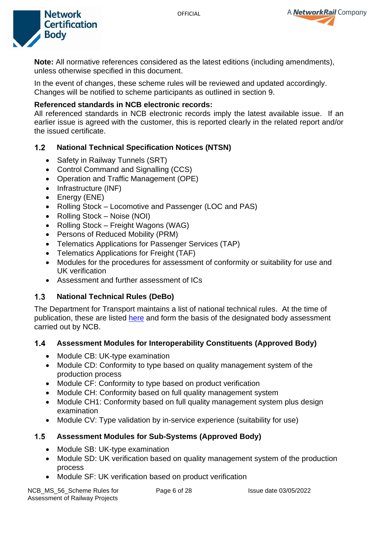



**Note:** All normative references considered as the latest editions (including amendments), unless otherwise specified in this document.

In the event of changes, these scheme rules will be reviewed and updated accordingly. Changes will be notified to scheme participants as outlined in section 9.

### **Referenced standards in NCB electronic records:**

All referenced standards in NCB electronic records imply the latest available issue. If an earlier issue is agreed with the customer, this is reported clearly in the related report and/or the issued certificate.

#### <span id="page-5-0"></span> $1.2$ **National Technical Specification Notices (NTSN)**

- Safety in Railway Tunnels (SRT)
- Control Command and Signalling (CCS)
- Operation and Traffic Management (OPE)
- Infrastructure (INF)
- Energy (ENE)
- Rolling Stock Locomotive and Passenger (LOC and PAS)
- Rolling Stock Noise (NOI)
- Rolling Stock Freight Wagons (WAG)
- Persons of Reduced Mobility (PRM)
- Telematics Applications for Passenger Services (TAP)
- Telematics Applications for Freight (TAF)
- Modules for the procedures for assessment of conformity or suitability for use and UK verification
- Assessment and further assessment of ICs

#### <span id="page-5-1"></span> $1.3$ **National Technical Rules (DeBo)**

The Department for Transport maintains a list of national technical rules. At the time of publication, these are listed [here](https://www.gov.uk/government/publications/rail-interoperability-project-specific-notified-national-technical-rules) and form the basis of the designated body assessment carried out by NCB.

#### <span id="page-5-2"></span> $1.4$ **Assessment Modules for Interoperability Constituents (Approved Body)**

- Module CB: UK-type examination
- Module CD: Conformity to type based on quality management system of the production process
- Module CF: Conformity to type based on product verification
- Module CH: Conformity based on full quality management system
- Module CH1: Conformity based on full quality management system plus design examination
- Module CV: Type validation by in-service experience (suitability for use)

## <span id="page-5-3"></span>**Assessment Modules for Sub-Systems (Approved Body)**

- Module SB: UK-type examination
- Module SD: UK verification based on quality management system of the production process
- Module SF: UK verification based on product verification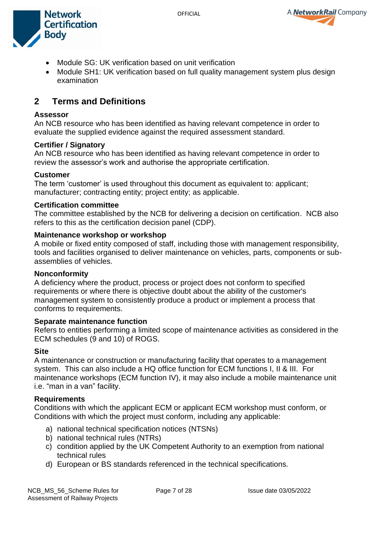



- Module SG: UK verification based on unit verification
- Module SH1: UK verification based on full quality management system plus design examination

# <span id="page-6-0"></span>**2 Terms and Definitions**

#### **Assessor**

An NCB resource who has been identified as having relevant competence in order to evaluate the supplied evidence against the required assessment standard.

#### **Certifier / Signatory**

An NCB resource who has been identified as having relevant competence in order to review the assessor's work and authorise the appropriate certification.

#### **Customer**

The term 'customer' is used throughout this document as equivalent to: applicant; manufacturer; contracting entity; project entity; as applicable.

#### **Certification committee**

The committee established by the NCB for delivering a decision on certification. NCB also refers to this as the certification decision panel (CDP).

#### **Maintenance workshop or workshop**

A mobile or fixed entity composed of staff, including those with management responsibility, tools and facilities organised to deliver maintenance on vehicles, parts, components or subassemblies of vehicles.

#### **Nonconformity**

A deficiency where the product, process or project does not conform to specified requirements or where there is objective doubt about the ability of the customer's management system to consistently produce a product or implement a process that conforms to requirements.

#### **Separate maintenance function**

Refers to entities performing a limited scope of maintenance activities as considered in the ECM schedules (9 and 10) of ROGS.

### **Site**

A maintenance or construction or manufacturing facility that operates to a management system. This can also include a HQ office function for ECM functions I, II & III. For maintenance workshops (ECM function IV), it may also include a mobile maintenance unit i.e. "man in a van" facility.

#### **Requirements**

Conditions with which the applicant ECM or applicant ECM workshop must conform, or Conditions with which the project must conform, including any applicable:

- a) national technical specification notices (NTSNs)
- b) national technical rules (NTRs)
- c) condition applied by the UK Competent Authority to an exemption from national technical rules
- d) European or BS standards referenced in the technical specifications.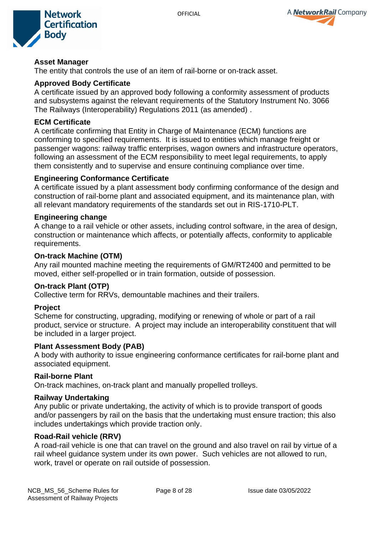



### **Asset Manager**

The entity that controls the use of an item of rail-borne or on-track asset.

### **Approved Body Certificate**

A certificate issued by an approved body following a conformity assessment of products and subsystems against the relevant requirements of the Statutory Instrument No. 3066 The Railways (Interoperability) Regulations 2011 (as amended) .

### **ECM Certificate**

A certificate confirming that Entity in Charge of Maintenance (ECM) functions are conforming to specified requirements. It is issued to entities which manage freight or passenger wagons: railway traffic enterprises, wagon owners and infrastructure operators, following an assessment of the ECM responsibility to meet legal requirements, to apply them consistently and to supervise and ensure continuing compliance over time.

### **Engineering Conformance Certificate**

A certificate issued by a plant assessment body confirming conformance of the design and construction of rail-borne plant and associated equipment, and its maintenance plan, with all relevant mandatory requirements of the standards set out in RIS-1710-PLT.

#### **Engineering change**

A change to a rail vehicle or other assets, including control software, in the area of design, construction or maintenance which affects, or potentially affects, conformity to applicable requirements.

#### **On-track Machine (OTM)**

Any rail mounted machine meeting the requirements of GM/RT2400 and permitted to be moved, either self-propelled or in train formation, outside of possession.

#### **On-track Plant (OTP)**

Collective term for RRVs, demountable machines and their trailers.

### **Project**

Scheme for constructing, upgrading, modifying or renewing of whole or part of a rail product, service or structure. A project may include an interoperability constituent that will be included in a larger project.

#### **Plant Assessment Body (PAB)**

A body with authority to issue engineering conformance certificates for rail-borne plant and associated equipment.

#### **Rail-borne Plant**

On-track machines, on-track plant and manually propelled trolleys.

### **Railway Undertaking**

Any public or private undertaking, the activity of which is to provide transport of goods and/or passengers by rail on the basis that the undertaking must ensure traction; this also includes undertakings which provide traction only.

### **Road-Rail vehicle (RRV)**

A road-rail vehicle is one that can travel on the ground and also travel on rail by virtue of a rail wheel guidance system under its own power. Such vehicles are not allowed to run, work, travel or operate on rail outside of possession.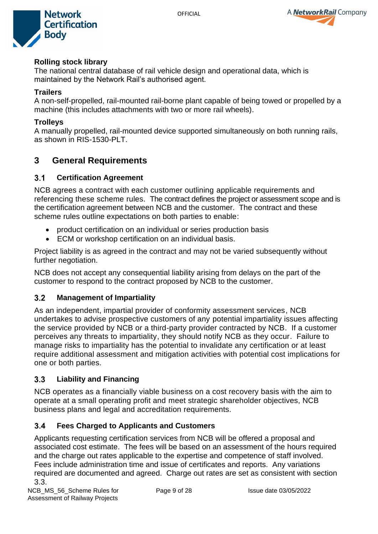



### **Rolling stock library**

The national central database of rail vehicle design and operational data, which is maintained by the Network Rail's authorised agent.

### **Trailers**

A non-self-propelled, rail-mounted rail-borne plant capable of being towed or propelled by a machine (this includes attachments with two or more rail wheels).

### **Trolleys**

A manually propelled, rail-mounted device supported simultaneously on both running rails, as shown in RIS-1530-PLT.

# <span id="page-8-0"></span>**3 General Requirements**

#### <span id="page-8-1"></span> $3.1$ **Certification Agreement**

NCB agrees a contract with each customer outlining applicable requirements and referencing these scheme rules. The contract defines the project or assessment scope and is the certification agreement between NCB and the customer. The contract and these scheme rules outline expectations on both parties to enable:

- product certification on an individual or series production basis
- ECM or workshop certification on an individual basis.

Project liability is as agreed in the contract and may not be varied subsequently without further negotiation.

NCB does not accept any consequential liability arising from delays on the part of the customer to respond to the contract proposed by NCB to the customer.

#### <span id="page-8-2"></span> $3.2$ **Management of Impartiality**

As an independent, impartial provider of conformity assessment services, NCB undertakes to advise prospective customers of any potential impartiality issues affecting the service provided by NCB or a third-party provider contracted by NCB. If a customer perceives any threats to impartiality, they should notify NCB as they occur. Failure to manage risks to impartiality has the potential to invalidate any certification or at least require additional assessment and mitigation activities with potential cost implications for one or both parties.

#### <span id="page-8-3"></span> $3.3$ **Liability and Financing**

NCB operates as a financially viable business on a cost recovery basis with the aim to operate at a small operating profit and meet strategic shareholder objectives, NCB business plans and legal and accreditation requirements.

#### <span id="page-8-4"></span> $3.4$ **Fees Charged to Applicants and Customers**

Applicants requesting certification services from NCB will be offered a proposal and associated cost estimate. The fees will be based on an assessment of the hours required and the charge out rates applicable to the expertise and competence of staff involved. Fees include administration time and issue of certificates and reports. Any variations required are documented and agreed. Charge out rates are set as consistent with section 3.3.

NCB\_MS\_56\_Scheme Rules for Assessment of Railway Projects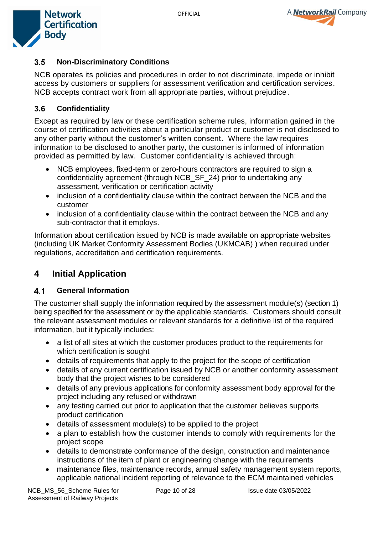



#### <span id="page-9-0"></span> $3.5$ **Non-Discriminatory Conditions**

NCB operates its policies and procedures in order to not discriminate, impede or inhibit access by customers or suppliers for assessment verification and certification services. NCB accepts contract work from all appropriate parties, without prejudice.

#### <span id="page-9-1"></span> $3.6$ **Confidentiality**

Except as required by law or these certification scheme rules, information gained in the course of certification activities about a particular product or customer is not disclosed to any other party without the customer's written consent. Where the law requires information to be disclosed to another party, the customer is informed of information provided as permitted by law. Customer confidentiality is achieved through:

- NCB employees, fixed-term or zero-hours contractors are required to sign a confidentiality agreement (through NCB\_SF\_24) prior to undertaking any assessment, verification or certification activity
- inclusion of a confidentiality clause within the contract between the NCB and the customer
- inclusion of a confidentiality clause within the contract between the NCB and any sub-contractor that it employs.

Information about certification issued by NCB is made available on appropriate websites (including UK Market Conformity Assessment Bodies (UKMCAB) ) when required under regulations, accreditation and certification requirements.

# <span id="page-9-2"></span>**4 Initial Application**

#### <span id="page-9-3"></span> $4.1$ **General Information**

The customer shall supply the information required by the assessment module(s) (section 1) being specified for the assessment or by the applicable standards. Customers should consult the relevant assessment modules or relevant standards for a definitive list of the required information, but it typically includes:

- a list of all sites at which the customer produces product to the requirements for which certification is sought
- details of requirements that apply to the project for the scope of certification
- details of any current certification issued by NCB or another conformity assessment body that the project wishes to be considered
- details of any previous applications for conformity assessment body approval for the project including any refused or withdrawn
- any testing carried out prior to application that the customer believes supports product certification
- details of assessment module(s) to be applied to the project
- a plan to establish how the customer intends to comply with requirements for the project scope
- details to demonstrate conformance of the design, construction and maintenance instructions of the item of plant or engineering change with the requirements
- maintenance files, maintenance records, annual safety management system reports, applicable national incident reporting of relevance to the ECM maintained vehicles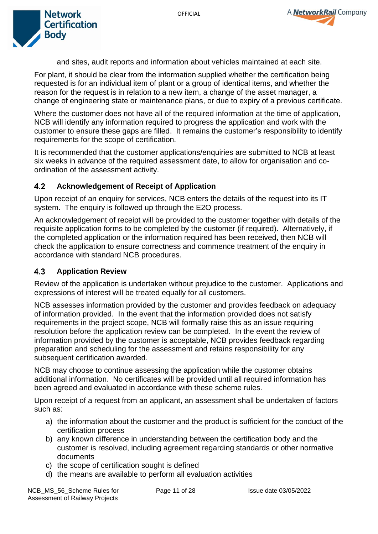



and sites, audit reports and information about vehicles maintained at each site.

For plant, it should be clear from the information supplied whether the certification being requested is for an individual item of plant or a group of identical items, and whether the reason for the request is in relation to a new item, a change of the asset manager, a change of engineering state or maintenance plans, or due to expiry of a previous certificate.

Where the customer does not have all of the required information at the time of application, NCB will identify any information required to progress the application and work with the customer to ensure these gaps are filled. It remains the customer's responsibility to identify requirements for the scope of certification.

It is recommended that the customer applications/enquiries are submitted to NCB at least six weeks in advance of the required assessment date, to allow for organisation and coordination of the assessment activity.

#### <span id="page-10-0"></span> $4.2$ **Acknowledgement of Receipt of Application**

Upon receipt of an enquiry for services, NCB enters the details of the request into its IT system. The enquiry is followed up through the E2O process.

An acknowledgement of receipt will be provided to the customer together with details of the requisite application forms to be completed by the customer (if required). Alternatively, if the completed application or the information required has been received, then NCB will check the application to ensure correctness and commence treatment of the enquiry in accordance with standard NCB procedures.

#### <span id="page-10-1"></span>**Application Review**  $4.3$

Review of the application is undertaken without prejudice to the customer. Applications and expressions of interest will be treated equally for all customers.

NCB assesses information provided by the customer and provides feedback on adequacy of information provided. In the event that the information provided does not satisfy requirements in the project scope, NCB will formally raise this as an issue requiring resolution before the application review can be completed. In the event the review of information provided by the customer is acceptable, NCB provides feedback regarding preparation and scheduling for the assessment and retains responsibility for any subsequent certification awarded.

NCB may choose to continue assessing the application while the customer obtains additional information. No certificates will be provided until all required information has been agreed and evaluated in accordance with these scheme rules.

Upon receipt of a request from an applicant, an assessment shall be undertaken of factors such as:

- a) the information about the customer and the product is sufficient for the conduct of the certification process
- b) any known difference in understanding between the certification body and the customer is resolved, including agreement regarding standards or other normative documents
- c) the scope of certification sought is defined
- d) the means are available to perform all evaluation activities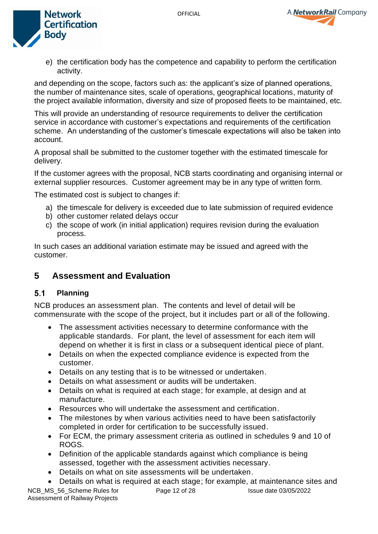



e) the certification body has the competence and capability to perform the certification activity.

and depending on the scope, factors such as: the applicant's size of planned operations, the number of maintenance sites, scale of operations, geographical locations, maturity of the project available information, diversity and size of proposed fleets to be maintained, etc.

This will provide an understanding of resource requirements to deliver the certification service in accordance with customer's expectations and requirements of the certification scheme. An understanding of the customer's timescale expectations will also be taken into account.

A proposal shall be submitted to the customer together with the estimated timescale for delivery.

If the customer agrees with the proposal, NCB starts coordinating and organising internal or external supplier resources. Customer agreement may be in any type of written form.

The estimated cost is subject to changes if:

- a) the timescale for delivery is exceeded due to late submission of required evidence
- b) other customer related delays occur
- c) the scope of work (in initial application) requires revision during the evaluation process.

In such cases an additional variation estimate may be issued and agreed with the customer.

# <span id="page-11-0"></span>**5 Assessment and Evaluation**

#### <span id="page-11-1"></span> $5.1$ **Planning**

NCB produces an assessment plan. The contents and level of detail will be commensurate with the scope of the project, but it includes part or all of the following.

- The assessment activities necessary to determine conformance with the applicable standards. For plant, the level of assessment for each item will depend on whether it is first in class or a subsequent identical piece of plant.
- Details on when the expected compliance evidence is expected from the customer.
- Details on any testing that is to be witnessed or undertaken.
- Details on what assessment or audits will be undertaken.
- Details on what is required at each stage; for example, at design and at manufacture.
- Resources who will undertake the assessment and certification.
- The milestones by when various activities need to have been satisfactorily completed in order for certification to be successfully issued.
- For ECM, the primary assessment criteria as outlined in schedules 9 and 10 of ROGS.
- Definition of the applicable standards against which compliance is being assessed, together with the assessment activities necessary.
- Details on what on site assessments will be undertaken.
- Details on what is required at each stage; for example, at maintenance sites and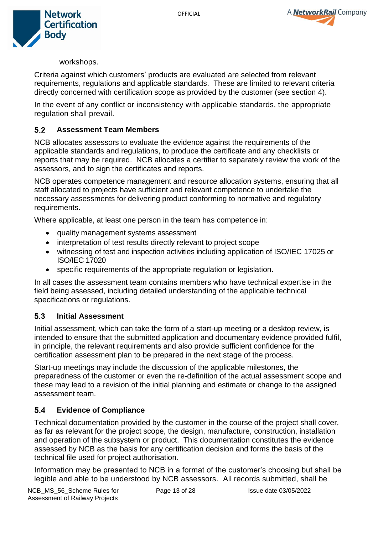



workshops.

Criteria against which customers' products are evaluated are selected from relevant requirements, regulations and applicable standards. These are limited to relevant criteria directly concerned with certification scope as provided by the customer (see section 4).

In the event of any conflict or inconsistency with applicable standards, the appropriate regulation shall prevail.

#### <span id="page-12-0"></span> $5.2$ **Assessment Team Members**

NCB allocates assessors to evaluate the evidence against the requirements of the applicable standards and regulations, to produce the certificate and any checklists or reports that may be required. NCB allocates a certifier to separately review the work of the assessors, and to sign the certificates and reports.

NCB operates competence management and resource allocation systems, ensuring that all staff allocated to projects have sufficient and relevant competence to undertake the necessary assessments for delivering product conforming to normative and regulatory requirements.

Where applicable, at least one person in the team has competence in:

- quality management systems assessment
- interpretation of test results directly relevant to project scope
- witnessing of test and inspection activities including application of ISO/IEC 17025 or ISO/IEC 17020
- specific requirements of the appropriate regulation or legislation.

In all cases the assessment team contains members who have technical expertise in the field being assessed, including detailed understanding of the applicable technical specifications or regulations.

#### <span id="page-12-1"></span> $5.3$ **Initial Assessment**

Initial assessment, which can take the form of a start-up meeting or a desktop review, is intended to ensure that the submitted application and documentary evidence provided fulfil, in principle, the relevant requirements and also provide sufficient confidence for the certification assessment plan to be prepared in the next stage of the process.

Start-up meetings may include the discussion of the applicable milestones, the preparedness of the customer or even the re-definition of the actual assessment scope and these may lead to a revision of the initial planning and estimate or change to the assigned assessment team.

#### <span id="page-12-2"></span> $5.4$ **Evidence of Compliance**

Technical documentation provided by the customer in the course of the project shall cover, as far as relevant for the project scope, the design, manufacture, construction, installation and operation of the subsystem or product. This documentation constitutes the evidence assessed by NCB as the basis for any certification decision and forms the basis of the technical file used for project authorisation.

Information may be presented to NCB in a format of the customer's choosing but shall be legible and able to be understood by NCB assessors. All records submitted, shall be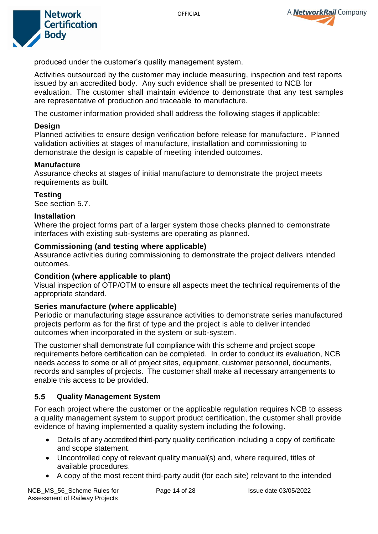



produced under the customer's quality management system.

Activities outsourced by the customer may include measuring, inspection and test reports issued by an accredited body. Any such evidence shall be presented to NCB for evaluation. The customer shall maintain evidence to demonstrate that any test samples are representative of production and traceable to manufacture.

The customer information provided shall address the following stages if applicable:

### **Design**

Planned activities to ensure design verification before release for manufacture. Planned validation activities at stages of manufacture, installation and commissioning to demonstrate the design is capable of meeting intended outcomes.

### **Manufacture**

Assurance checks at stages of initial manufacture to demonstrate the project meets requirements as built.

### **Testing**

See section 5.7.

### **Installation**

Where the project forms part of a larger system those checks planned to demonstrate interfaces with existing sub-systems are operating as planned.

### **Commissioning (and testing where applicable)**

Assurance activities during commissioning to demonstrate the project delivers intended outcomes.

### **Condition (where applicable to plant)**

Visual inspection of OTP/OTM to ensure all aspects meet the technical requirements of the appropriate standard.

### **Series manufacture (where applicable)**

Periodic or manufacturing stage assurance activities to demonstrate series manufactured projects perform as for the first of type and the project is able to deliver intended outcomes when incorporated in the system or sub-system.

The customer shall demonstrate full compliance with this scheme and project scope requirements before certification can be completed. In order to conduct its evaluation, NCB needs access to some or all of project sites, equipment, customer personnel, documents, records and samples of projects. The customer shall make all necessary arrangements to enable this access to be provided.

#### <span id="page-13-0"></span> $5.5$ **Quality Management System**

For each project where the customer or the applicable regulation requires NCB to assess a quality management system to support product certification, the customer shall provide evidence of having implemented a quality system including the following.

- Details of any accredited third-party quality certification including a copy of certificate and scope statement.
- Uncontrolled copy of relevant quality manual(s) and, where required, titles of available procedures.
- A copy of the most recent third-party audit (for each site) relevant to the intended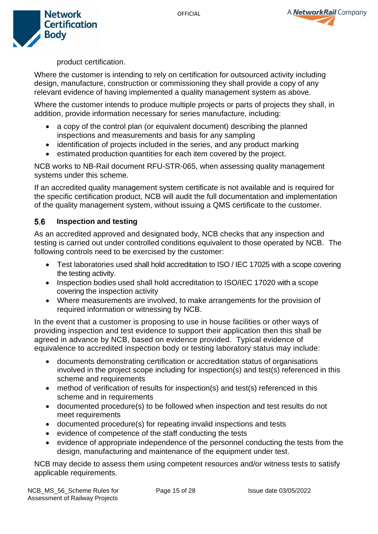



product certification.

Where the customer is intending to rely on certification for outsourced activity including design, manufacture, construction or commissioning they shall provide a copy of any relevant evidence of having implemented a quality management system as above.

Where the customer intends to produce multiple projects or parts of projects they shall, in addition, provide information necessary for series manufacture, including:

- a copy of the control plan (or equivalent document) describing the planned inspections and measurements and basis for any sampling
- identification of projects included in the series, and any product marking
- estimated production quantities for each item covered by the project.

NCB works to NB-Rail document RFU-STR-065, when assessing quality management systems under this scheme.

If an accredited quality management system certificate is not available and is required for the specific certification product, NCB will audit the full documentation and implementation of the quality management system, without issuing a QMS certificate to the customer.

#### <span id="page-14-0"></span>**Inspection and testing**  $5.6$

As an accredited approved and designated body, NCB checks that any inspection and testing is carried out under controlled conditions equivalent to those operated by NCB. The following controls need to be exercised by the customer:

- Test laboratories used shall hold accreditation to ISO / IEC 17025 with a scope covering the testing activity.
- Inspection bodies used shall hold accreditation to ISO/IEC 17020 with a scope covering the inspection activity
- Where measurements are involved, to make arrangements for the provision of required information or witnessing by NCB.

In the event that a customer is proposing to use in house facilities or other ways of providing inspection and test evidence to support their application then this shall be agreed in advance by NCB, based on evidence provided. Typical evidence of equivalence to accredited inspection body or testing laboratory status may include:

- documents demonstrating certification or accreditation status of organisations involved in the project scope including for inspection(s) and test(s) referenced in this scheme and requirements
- method of verification of results for inspection(s) and test(s) referenced in this scheme and in requirements
- documented procedure(s) to be followed when inspection and test results do not meet requirements
- documented procedure(s) for repeating invalid inspections and tests
- evidence of competence of the staff conducting the tests
- evidence of appropriate independence of the personnel conducting the tests from the design, manufacturing and maintenance of the equipment under test.

NCB may decide to assess them using competent resources and/or witness tests to satisfy applicable requirements.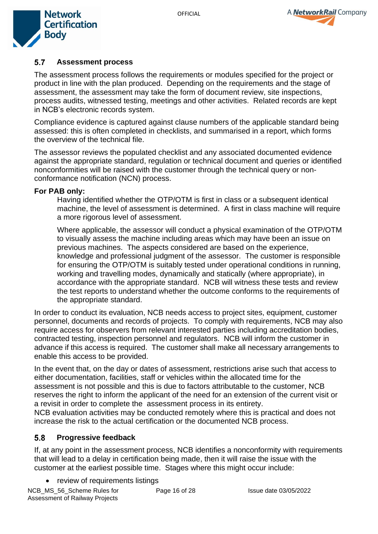



#### <span id="page-15-0"></span> $5.7$ **Assessment process**

The assessment process follows the requirements or modules specified for the project or product in line with the plan produced. Depending on the requirements and the stage of assessment, the assessment may take the form of document review, site inspections, process audits, witnessed testing, meetings and other activities. Related records are kept in NCB's electronic records system.

Compliance evidence is captured against clause numbers of the applicable standard being assessed: this is often completed in checklists, and summarised in a report, which forms the overview of the technical file.

The assessor reviews the populated checklist and any associated documented evidence against the appropriate standard, regulation or technical document and queries or identified nonconformities will be raised with the customer through the technical query or nonconformance notification (NCN) process.

#### **For PAB only:**

Having identified whether the OTP/OTM is first in class or a subsequent identical machine, the level of assessment is determined. A first in class machine will require a more rigorous level of assessment.

Where applicable, the assessor will conduct a physical examination of the OTP/OTM to visually assess the machine including areas which may have been an issue on previous machines. The aspects considered are based on the experience, knowledge and professional judgment of the assessor. The customer is responsible for ensuring the OTP/OTM is suitably tested under operational conditions in running, working and travelling modes, dynamically and statically (where appropriate), in accordance with the appropriate standard. NCB will witness these tests and review the test reports to understand whether the outcome conforms to the requirements of the appropriate standard.

In order to conduct its evaluation, NCB needs access to project sites, equipment, customer personnel, documents and records of projects. To comply with requirements, NCB may also require access for observers from relevant interested parties including accreditation bodies, contracted testing, inspection personnel and regulators. NCB will inform the customer in advance if this access is required. The customer shall make all necessary arrangements to enable this access to be provided.

In the event that, on the day or dates of assessment, restrictions arise such that access to either documentation, facilities, staff or vehicles within the allocated time for the assessment is not possible and this is due to factors attributable to the customer, NCB reserves the right to inform the applicant of the need for an extension of the current visit or a revisit in order to complete the assessment process in its entirety.

NCB evaluation activities may be conducted remotely where this is practical and does not increase the risk to the actual certification or the documented NCB process.

#### <span id="page-15-1"></span>5.8 **Progressive feedback**

If, at any point in the assessment process, NCB identifies a nonconformity with requirements that will lead to a delay in certification being made, then it will raise the issue with the customer at the earliest possible time. Stages where this might occur include:

• review of requirements listings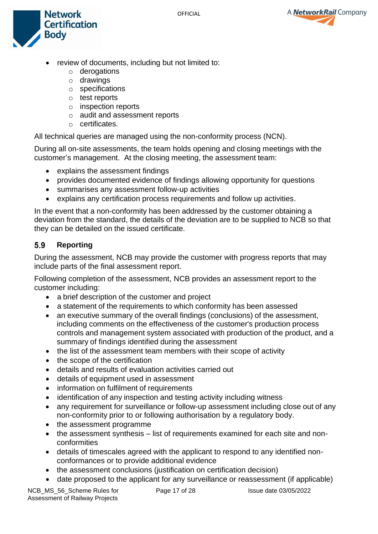A **NetworkRail** Company



- review of documents, including but not limited to:
	- o derogations
	- o drawings
	- o specifications
	- o test reports
	- o inspection reports
	- o audit and assessment reports
	- o certificates.

All technical queries are managed using the non-conformity process (NCN).

During all on-site assessments, the team holds opening and closing meetings with the customer's management. At the closing meeting, the assessment team:

- explains the assessment findings
- provides documented evidence of findings allowing opportunity for questions
- summarises any assessment follow-up activities
- explains any certification process requirements and follow up activities.

In the event that a non-conformity has been addressed by the customer obtaining a deviation from the standard, the details of the deviation are to be supplied to NCB so that they can be detailed on the issued certificate.

#### <span id="page-16-0"></span>5.9 **Reporting**

During the assessment, NCB may provide the customer with progress reports that may include parts of the final assessment report.

Following completion of the assessment, NCB provides an assessment report to the customer including:

- a brief description of the customer and project
- a statement of the requirements to which conformity has been assessed
- an executive summary of the overall findings (conclusions) of the assessment, including comments on the effectiveness of the customer's production process controls and management system associated with production of the product, and a summary of findings identified during the assessment
- the list of the assessment team members with their scope of activity
- the scope of the certification
- details and results of evaluation activities carried out
- details of equipment used in assessment
- information on fulfilment of requirements
- identification of any inspection and testing activity including witness
- any requirement for surveillance or follow-up assessment including close out of any non-conformity prior to or following authorisation by a regulatory body.
- the assessment programme
- the assessment synthesis list of requirements examined for each site and nonconformities
- details of timescales agreed with the applicant to respond to any identified nonconformances or to provide additional evidence
- the assessment conclusions (justification on certification decision)
- date proposed to the applicant for any surveillance or reassessment (if applicable)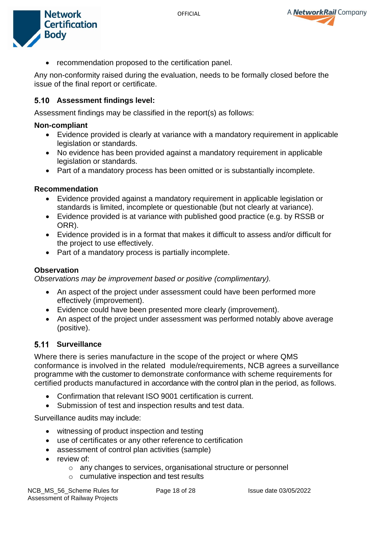

• recommendation proposed to the certification panel.

Any non-conformity raised during the evaluation, needs to be formally closed before the issue of the final report or certificate.

### <span id="page-17-0"></span>**Assessment findings level:**

Assessment findings may be classified in the report(s) as follows:

### **Non-compliant**

- Evidence provided is clearly at variance with a mandatory requirement in applicable legislation or standards.
- No evidence has been provided against a mandatory requirement in applicable legislation or standards.
- Part of a mandatory process has been omitted or is substantially incomplete.

### **Recommendation**

- Evidence provided against a mandatory requirement in applicable legislation or standards is limited, incomplete or questionable (but not clearly at variance).
- Evidence provided is at variance with published good practice (e.g. by RSSB or ORR).
- Evidence provided is in a format that makes it difficult to assess and/or difficult for the project to use effectively.
- Part of a mandatory process is partially incomplete.

### **Observation**

*Observations may be improvement based or positive (complimentary).*

- An aspect of the project under assessment could have been performed more effectively (improvement).
- Evidence could have been presented more clearly (improvement).
- An aspect of the project under assessment was performed notably above average (positive).

## <span id="page-17-1"></span>**Surveillance**

Where there is series manufacture in the scope of the project or where QMS conformance is involved in the related module/requirements, NCB agrees a surveillance programme with the customer to demonstrate conformance with scheme requirements for certified products manufactured in accordance with the control plan in the period, as follows.

- Confirmation that relevant ISO 9001 certification is current.
- Submission of test and inspection results and test data.

Surveillance audits may include:

- witnessing of product inspection and testing
- use of certificates or any other reference to certification
- assessment of control plan activities (sample)
- review of:
	- o any changes to services, organisational structure or personnel
	- o cumulative inspection and test results

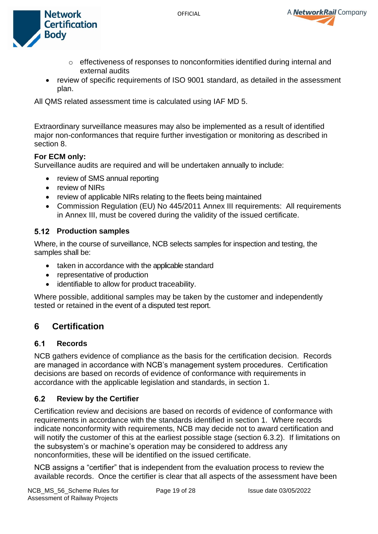



- $\circ$  effectiveness of responses to nonconformities identified during internal and external audits
- review of specific requirements of ISO 9001 standard, as detailed in the assessment plan.

All QMS related assessment time is calculated using IAF MD 5.

Extraordinary surveillance measures may also be implemented as a result of identified major non-conformances that require further investigation or monitoring as described in section 8.

### **For ECM only:**

Surveillance audits are required and will be undertaken annually to include:

- review of SMS annual reporting
- review of NIRs
- review of applicable NIRs relating to the fleets being maintained
- Commission Regulation (EU) No 445/2011 Annex III requirements: All requirements in Annex III, must be covered during the validity of the issued certificate.

### <span id="page-18-0"></span>**5.12 Production samples**

Where, in the course of surveillance, NCB selects samples for inspection and testing, the samples shall be:

- taken in accordance with the applicable standard
- representative of production
- identifiable to allow for product traceability.

Where possible, additional samples may be taken by the customer and independently tested or retained in the event of a disputed test report.

# <span id="page-18-1"></span>**6 Certification**

#### <span id="page-18-2"></span> $6.1$ **Records**

NCB gathers evidence of compliance as the basis for the certification decision. Records are managed in accordance with NCB's management system procedures. Certification decisions are based on records of evidence of conformance with requirements in accordance with the applicable legislation and standards, in section 1.

#### <span id="page-18-3"></span> $6.2$ **Review by the Certifier**

Certification review and decisions are based on records of evidence of conformance with requirements in accordance with the standards identified in section 1. Where records indicate nonconformity with requirements, NCB may decide not to award certification and will notify the customer of this at the earliest possible stage (section 6.3.2). If limitations on the subsystem's or machine's operation may be considered to address any nonconformities, these will be identified on the issued certificate.

NCB assigns a "certifier" that is independent from the evaluation process to review the available records. Once the certifier is clear that all aspects of the assessment have been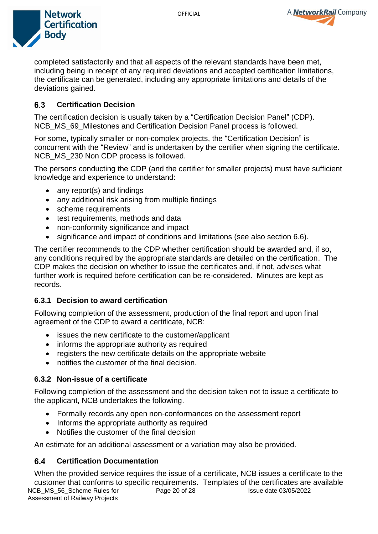

A **NetworkRail** Company

completed satisfactorily and that all aspects of the relevant standards have been met, including being in receipt of any required deviations and accepted certification limitations, the certificate can be generated, including any appropriate limitations and details of the deviations gained.

#### <span id="page-19-0"></span> $6.3$ **Certification Decision**

The certification decision is usually taken by a "Certification Decision Panel" (CDP). NCB MS<sub>69</sub> Milestones and Certification Decision Panel process is followed.

For some, typically smaller or non-complex projects, the "Certification Decision" is concurrent with the "Review" and is undertaken by the certifier when signing the certificate. [NCB\\_MS\\_230 Non CDP process](https://ncb.hub.networkrail.co.uk/sites/home/QMS/QMS%20Documents/NCB_MS_230%20Non%20CDP%20process.pdf?Web=1) is followed.

The persons conducting the CDP (and the certifier for smaller projects) must have sufficient knowledge and experience to understand:

- any report(s) and findings
- any additional risk arising from multiple findings
- scheme requirements
- test requirements, methods and data
- non-conformity significance and impact
- significance and impact of conditions and limitations (see also section 6.6).

The certifier recommends to the CDP whether certification should be awarded and, if so, any conditions required by the appropriate standards are detailed on the certification. The CDP makes the decision on whether to issue the certificates and, if not, advises what further work is required before certification can be re-considered. Minutes are kept as records.

### <span id="page-19-1"></span>**6.3.1 Decision to award certification**

Following completion of the assessment, production of the final report and upon final agreement of the CDP to award a certificate, NCB:

- issues the new certificate to the customer/applicant
- informs the appropriate authority as required
- registers the new certificate details on the appropriate website
- notifies the customer of the final decision.

### <span id="page-19-2"></span>**6.3.2 Non-issue of a certificate**

Following completion of the assessment and the decision taken not to issue a certificate to the applicant, NCB undertakes the following.

- Formally records any open non-conformances on the assessment report
- Informs the appropriate authority as required
- Notifies the customer of the final decision

An estimate for an additional assessment or a variation may also be provided.

#### <span id="page-19-3"></span>6.4 **Certification Documentation**

NCB\_MS\_56\_Scheme Rules for Assessment of Railway Projects Page 20 of 28 **Issue date 03/05/2022** When the provided service requires the issue of a certificate, NCB issues a certificate to the customer that conforms to specific requirements. Templates of the certificates are available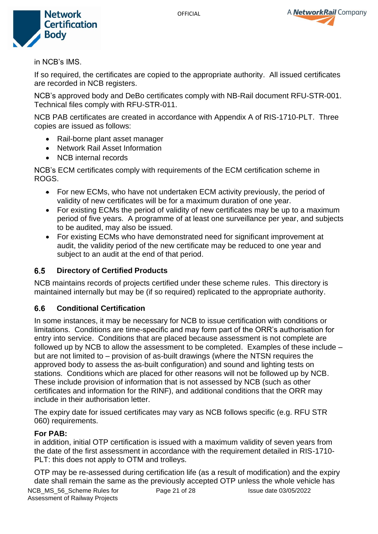



in NCB's IMS.

If so required, the certificates are copied to the appropriate authority. All issued certificates are recorded in NCB registers.

NCB's approved body and DeBo certificates comply with NB-Rail document RFU-STR-001. Technical files comply with RFU-STR-011.

NCB PAB certificates are created in accordance with Appendix A of RIS-1710-PLT. Three copies are issued as follows:

- Rail-borne plant asset manager
- Network Rail Asset Information
- NCB internal records

NCB's ECM certificates comply with requirements of the ECM certification scheme in ROGS.

- For new ECMs, who have not undertaken ECM activity previously, the period of validity of new certificates will be for a maximum duration of one year.
- For existing ECMs the period of validity of new certificates may be up to a maximum period of five years. A programme of at least one surveillance per year, and subjects to be audited, may also be issued.
- For existing ECMs who have demonstrated need for significant improvement at audit, the validity period of the new certificate may be reduced to one year and subject to an audit at the end of that period.

#### <span id="page-20-0"></span> $6.5$ **Directory of Certified Products**

NCB maintains records of projects certified under these scheme rules. This directory is maintained internally but may be (if so required) replicated to the appropriate authority.

#### <span id="page-20-1"></span>6.6 **Conditional Certification**

In some instances, it may be necessary for NCB to issue certification with conditions or limitations. Conditions are time-specific and may form part of the ORR's authorisation for entry into service. Conditions that are placed because assessment is not complete are followed up by NCB to allow the assessment to be completed. Examples of these include – but are not limited to – provision of as-built drawings (where the NTSN requires the approved body to assess the as-built configuration) and sound and lighting tests on stations. Conditions which are placed for other reasons will not be followed up by NCB. These include provision of information that is not assessed by NCB (such as other certificates and information for the RINF), and additional conditions that the ORR may include in their authorisation letter.

The expiry date for issued certificates may vary as NCB follows specific (e.g. RFU STR 060) requirements.

### **For PAB:**

in addition, initial OTP certification is issued with a maximum validity of seven years from the date of the first assessment in accordance with the requirement detailed in RIS-1710- PLT: this does not apply to OTM and trolleys.

OTP may be re-assessed during certification life (as a result of modification) and the expiry date shall remain the same as the previously accepted OTP unless the whole vehicle has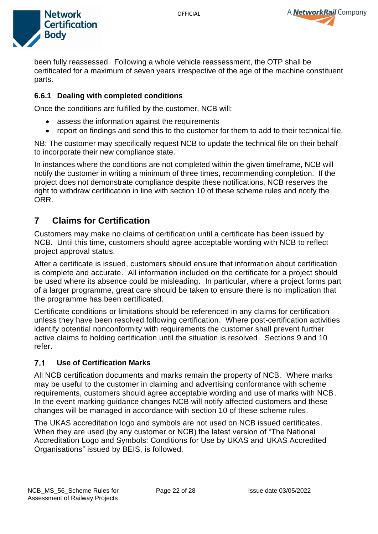

A NetworkRail Company

been fully reassessed. Following a whole vehicle reassessment, the OTP shall be certificated for a maximum of seven years irrespective of the age of the machine constituent parts.

### <span id="page-21-0"></span>**6.6.1 Dealing with completed conditions**

Once the conditions are fulfilled by the customer, NCB will:

- assess the information against the requirements
- report on findings and send this to the customer for them to add to their technical file.

NB: The customer may specifically request NCB to update the technical file on their behalf to incorporate their new compliance state.

In instances where the conditions are not completed within the given timeframe, NCB will notify the customer in writing a minimum of three times, recommending completion. If the project does not demonstrate compliance despite these notifications, NCB reserves the right to withdraw certification in line with section 10 of these scheme rules and notify the ORR.

# <span id="page-21-1"></span>**7 Claims for Certification**

Customers may make no claims of certification until a certificate has been issued by NCB. Until this time, customers should agree acceptable wording with NCB to reflect project approval status.

After a certificate is issued, customers should ensure that information about certification is complete and accurate. All information included on the certificate for a project should be used where its absence could be misleading. In particular, where a project forms part of a larger programme, great care should be taken to ensure there is no implication that the programme has been certificated.

Certificate conditions or limitations should be referenced in any claims for certification unless they have been resolved following certification. Where post-certification activities identify potential nonconformity with requirements the customer shall prevent further active claims to holding certification until the situation is resolved. Sections 9 and 10 refer.

#### <span id="page-21-2"></span> $7.1$ **Use of Certification Marks**

All NCB certification documents and marks remain the property of NCB. Where marks may be useful to the customer in claiming and advertising conformance with scheme requirements, customers should agree acceptable wording and use of marks with NCB. In the event marking guidance changes NCB will notify affected customers and these changes will be managed in accordance with section 10 of these scheme rules.

The UKAS accreditation logo and symbols are not used on NCB issued certificates. When they are used (by any customer or NCB) the latest version of "The National Accreditation Logo and Symbols: Conditions for Use by UKAS and UKAS Accredited Organisations" issued by BEIS, is followed.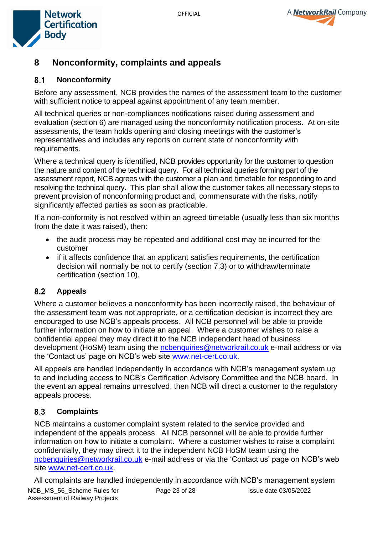



# <span id="page-22-0"></span>**8 Nonconformity, complaints and appeals**

#### <span id="page-22-1"></span> $8.1$ **Nonconformity**

Before any assessment, NCB provides the names of the assessment team to the customer with sufficient notice to appeal against appointment of any team member.

All technical queries or non-compliances notifications raised during assessment and evaluation (section 6) are managed using the nonconformity notification process. At on-site assessments, the team holds opening and closing meetings with the customer's representatives and includes any reports on current state of nonconformity with requirements.

Where a technical query is identified, NCB provides opportunity for the customer to question the nature and content of the technical query. For all technical queries forming part of the assessment report, NCB agrees with the customer a plan and timetable for responding to and resolving the technical query. This plan shall allow the customer takes all necessary steps to prevent provision of nonconforming product and, commensurate with the risks, notify significantly affected parties as soon as practicable.

If a non-conformity is not resolved within an agreed timetable (usually less than six months from the date it was raised), then:

- the audit process may be repeated and additional cost may be incurred for the customer
- if it affects confidence that an applicant satisfies requirements, the certification decision will normally be not to certify (section 7.3) or to withdraw/terminate certification (section 10).

#### <span id="page-22-2"></span> $8.2$ **Appeals**

Where a customer believes a nonconformity has been incorrectly raised, the behaviour of the assessment team was not appropriate, or a certification decision is incorrect they are encouraged to use NCB's appeals process. All NCB personnel will be able to provide further information on how to initiate an appeal. Where a customer wishes to raise a confidential appeal they may direct it to the NCB independent head of business development (HoSM) team using the [ncbenquiries@networkrail.co.uk](mailto:ncbenquiries@networkrail.co.uk) e-mail address or via the 'Contact us' page on NCB's web site [www.net-cert.co.uk.](http://www.net-cert.co.uk/)

All appeals are handled independently in accordance with NCB's management system up to and including access to NCB's Certification Advisory Committee and the NCB board. In the event an appeal remains unresolved, then NCB will direct a customer to the regulatory appeals process.

#### <span id="page-22-3"></span>8.3 **Complaints**

NCB maintains a customer complaint system related to the service provided and independent of the appeals process. All NCB personnel will be able to provide further information on how to initiate a complaint. Where a customer wishes to raise a complaint confidentially, they may direct it to the independent NCB HoSM team using the [ncbenquiries@networkrail.co.uk](mailto:ncbenquiries@networkrail.co.uk) e-mail address or via the 'Contact us' page on NCB's web site [www.net-cert.co.uk.](http://www.net-cert.co.uk/)

NCB\_MS\_56\_Scheme Rules for Assessment of Railway Projects Page 23 of 28 **Issue date 03/05/2022** All complaints are handled independently in accordance with NCB's management system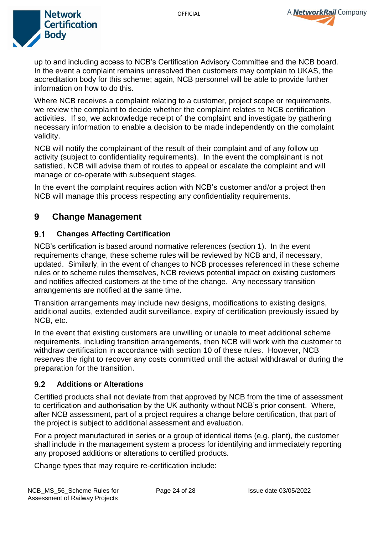



up to and including access to NCB's Certification Advisory Committee and the NCB board. In the event a complaint remains unresolved then customers may complain to UKAS, the accreditation body for this scheme; again, NCB personnel will be able to provide further information on how to do this.

Where NCB receives a complaint relating to a customer, project scope or requirements, we review the complaint to decide whether the complaint relates to NCB certification activities. If so, we acknowledge receipt of the complaint and investigate by gathering necessary information to enable a decision to be made independently on the complaint validity.

NCB will notify the complainant of the result of their complaint and of any follow up activity (subject to confidentiality requirements). In the event the complainant is not satisfied, NCB will advise them of routes to appeal or escalate the complaint and will manage or co-operate with subsequent stages.

In the event the complaint requires action with NCB's customer and/or a project then NCB will manage this process respecting any confidentiality requirements.

# <span id="page-23-0"></span>**9 Change Management**

#### <span id="page-23-1"></span> $9.1$ **Changes Affecting Certification**

NCB's certification is based around normative references (section 1). In the event requirements change, these scheme rules will be reviewed by NCB and, if necessary, updated. Similarly, in the event of changes to NCB processes referenced in these scheme rules or to scheme rules themselves, NCB reviews potential impact on existing customers and notifies affected customers at the time of the change. Any necessary transition arrangements are notified at the same time.

Transition arrangements may include new designs, modifications to existing designs, additional audits, extended audit surveillance, expiry of certification previously issued by NCB, etc.

In the event that existing customers are unwilling or unable to meet additional scheme requirements, including transition arrangements, then NCB will work with the customer to withdraw certification in accordance with section 10 of these rules. However, NCB reserves the right to recover any costs committed until the actual withdrawal or during the preparation for the transition.

#### <span id="page-23-2"></span> $9.2$ **Additions or Alterations**

Certified products shall not deviate from that approved by NCB from the time of assessment to certification and authorisation by the UK authority without NCB's prior consent. Where, after NCB assessment, part of a project requires a change before certification, that part of the project is subject to additional assessment and evaluation.

For a project manufactured in series or a group of identical items (e.g. plant), the customer shall include in the management system a process for identifying and immediately reporting any proposed additions or alterations to certified products.

Change types that may require re-certification include: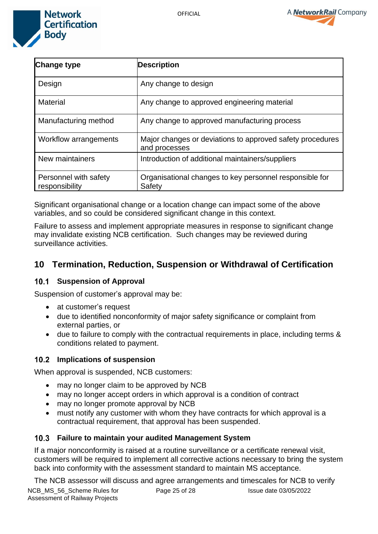



| <b>Change type</b>                      | <b>Description</b>                                                         |
|-----------------------------------------|----------------------------------------------------------------------------|
| Design                                  | Any change to design                                                       |
| <b>Material</b>                         | Any change to approved engineering material                                |
| Manufacturing method                    | Any change to approved manufacturing process                               |
| <b>Workflow arrangements</b>            | Major changes or deviations to approved safety procedures<br>and processes |
| New maintainers                         | Introduction of additional maintainers/suppliers                           |
| Personnel with safety<br>responsibility | Organisational changes to key personnel responsible for<br>Safety          |

Significant organisational change or a location change can impact some of the above variables, and so could be considered significant change in this context.

Failure to assess and implement appropriate measures in response to significant change may invalidate existing NCB certification. Such changes may be reviewed during surveillance activities.

# <span id="page-24-0"></span>**10 Termination, Reduction, Suspension or Withdrawal of Certification**

### <span id="page-24-1"></span>**10.1 Suspension of Approval**

Suspension of customer's approval may be:

- at customer's request
- due to identified nonconformity of major safety significance or complaint from external parties, or
- due to failure to comply with the contractual requirements in place, including terms & conditions related to payment.

### <span id="page-24-2"></span>**Implications of suspension**

When approval is suspended, NCB customers:

- may no longer claim to be approved by NCB
- may no longer accept orders in which approval is a condition of contract
- may no longer promote approval by NCB
- must notify any customer with whom they have contracts for which approval is a contractual requirement, that approval has been suspended.

### <span id="page-24-3"></span>**Failure to maintain your audited Management System**

If a major nonconformity is raised at a routine surveillance or a certificate renewal visit, customers will be required to implement all corrective actions necessary to bring the system back into conformity with the assessment standard to maintain MS acceptance.

NCB\_MS\_56\_Scheme Rules for Assessment of Railway Projects Page 25 of 28 Issue date 03/05/2022 The NCB assessor will discuss and agree arrangements and timescales for NCB to verify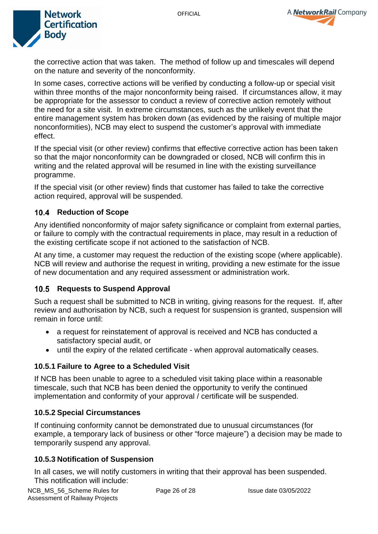



the corrective action that was taken. The method of follow up and timescales will depend on the nature and severity of the nonconformity.

In some cases, corrective actions will be verified by conducting a follow-up or special visit within three months of the major nonconformity being raised. If circumstances allow, it may be appropriate for the assessor to conduct a review of corrective action remotely without the need for a site visit. In extreme circumstances, such as the unlikely event that the entire management system has broken down (as evidenced by the raising of multiple major nonconformities), NCB may elect to suspend the customer's approval with immediate effect.

If the special visit (or other review) confirms that effective corrective action has been taken so that the major nonconformity can be downgraded or closed, NCB will confirm this in writing and the related approval will be resumed in line with the existing surveillance programme.

If the special visit (or other review) finds that customer has failed to take the corrective action required, approval will be suspended.

### <span id="page-25-0"></span>**10.4 Reduction of Scope**

Any identified nonconformity of major safety significance or complaint from external parties, or failure to comply with the contractual requirements in place, may result in a reduction of the existing certificate scope if not actioned to the satisfaction of NCB.

At any time, a customer may request the reduction of the existing scope (where applicable). NCB will review and authorise the request in writing, providing a new estimate for the issue of new documentation and any required assessment or administration work.

### <span id="page-25-1"></span>**10.5 Requests to Suspend Approval**

Such a request shall be submitted to NCB in writing, giving reasons for the request. If, after review and authorisation by NCB, such a request for suspension is granted, suspension will remain in force until:

- a request for reinstatement of approval is received and NCB has conducted a satisfactory special audit, or
- until the expiry of the related certificate when approval automatically ceases.

### <span id="page-25-2"></span>**10.5.1 Failure to Agree to a Scheduled Visit**

If NCB has been unable to agree to a scheduled visit taking place within a reasonable timescale, such that NCB has been denied the opportunity to verify the continued implementation and conformity of your approval / certificate will be suspended.

### <span id="page-25-3"></span>**10.5.2 Special Circumstances**

If continuing conformity cannot be demonstrated due to unusual circumstances (for example, a temporary lack of business or other "force majeure") a decision may be made to temporarily suspend any approval.

### <span id="page-25-4"></span>**10.5.3 Notification of Suspension**

In all cases, we will notify customers in writing that their approval has been suspended. This notification will include: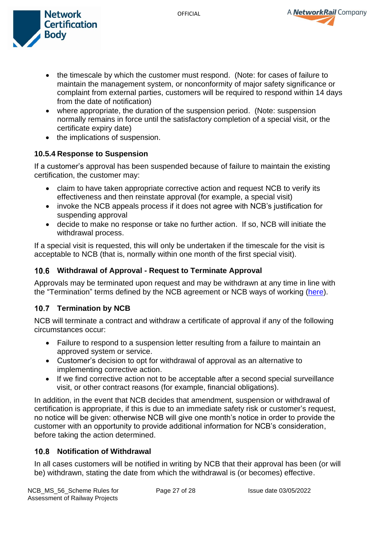A NetworkRail Company



- the timescale by which the customer must respond. (Note: for cases of failure to maintain the management system, or nonconformity of major safety significance or complaint from external parties, customers will be required to respond within 14 days from the date of notification)
- where appropriate, the duration of the suspension period. (Note: suspension normally remains in force until the satisfactory completion of a special visit, or the certificate expiry date)
- the implications of suspension.

# <span id="page-26-0"></span>**10.5.4 Response to Suspension**

If a customer's approval has been suspended because of failure to maintain the existing certification, the customer may:

- claim to have taken appropriate corrective action and request NCB to verify its effectiveness and then reinstate approval (for example, a special visit)
- invoke the NCB appeals process if it does not agree with NCB's justification for suspending approval
- decide to make no response or take no further action. If so, NCB will initiate the withdrawal process.

If a special visit is requested, this will only be undertaken if the timescale for the visit is acceptable to NCB (that is, normally within one month of the first special visit).

# <span id="page-26-1"></span>**Withdrawal of Approval - Request to Terminate Approval**

Approvals may be terminated upon request and may be withdrawn at any time in line with the "Termination" terms defined by the NCB agreement or NCB ways of working [\(here\)](https://net-cert.co.uk/ways-of-working).

# <span id="page-26-2"></span>**Termination by NCB**

NCB will terminate a contract and withdraw a certificate of approval if any of the following circumstances occur:

- Failure to respond to a suspension letter resulting from a failure to maintain an approved system or service.
- Customer's decision to opt for withdrawal of approval as an alternative to implementing corrective action.
- If we find corrective action not to be acceptable after a second special surveillance visit, or other contract reasons (for example, financial obligations).

In addition, in the event that NCB decides that amendment, suspension or withdrawal of certification is appropriate, if this is due to an immediate safety risk or customer's request, no notice will be given: otherwise NCB will give one month's notice in order to provide the customer with an opportunity to provide additional information for NCB's consideration, before taking the action determined.

# <span id="page-26-3"></span>**10.8 Notification of Withdrawal**

In all cases customers will be notified in writing by NCB that their approval has been (or will be) withdrawn, stating the date from which the withdrawal is (or becomes) effective.